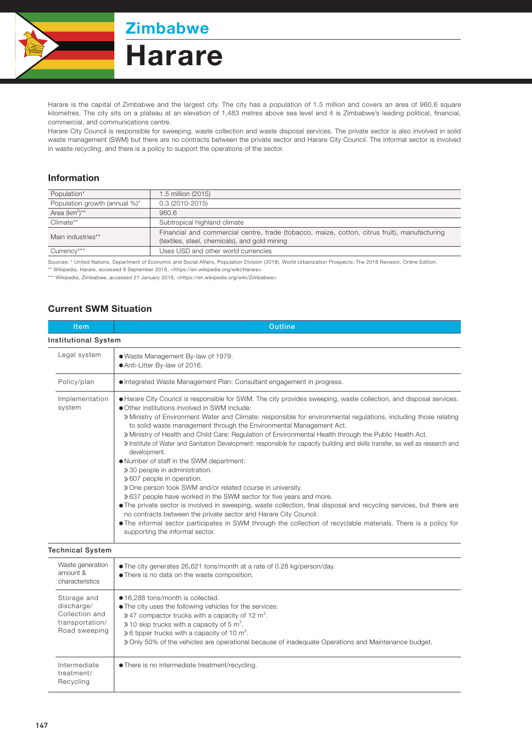

**Zimbabwe** 

## **Harare**

Harare is the capital of Zimbabwe and the largest city. The city has a population of 1.5 million and covers an area of 960.6 square kilometres. The city sits on a plateau at an elevation of 1,483 metres above sea level and it is Zimbabwe's leading political, financial, commercial, and communications centre.

Harare City Council is responsible for sweeping, waste collection and waste disposal services. The private sector is also involved in solid waste management (SWM) but there are no contracts between the private sector and Harare City Council. The informal sector is involved in waste recycling, and there is a policy to support the operations of the sector.

## Information

| Population*                   | 1.5 million (2015)                                                                                                                            |  |
|-------------------------------|-----------------------------------------------------------------------------------------------------------------------------------------------|--|
| Population growth (annual %)* | $0.3(2010-2015)$                                                                                                                              |  |
| Area $(km^2)^{**}$            | 960.6                                                                                                                                         |  |
| Climate**                     | Subtropical highland climate                                                                                                                  |  |
| Main industries**             | Financial and commercial centre, trade (tobacco, maize, cotton, citrus fruit), manufacturing<br>(textiles, steel, chemicals), and gold mining |  |
| Currency***                   | Uses USD and other world currencies                                                                                                           |  |
|                               |                                                                                                                                               |  |

Sources: \* United Nations, Department of Economic and Social Affairs, Population Division (2018). World Urbanization Prospects: The 2018 Revision, Online Edition.

\*\* Wikipedia, Harare, accessed 9 September 2018, <https://en.wikipedia.org/wiki/Harare>

\*\*\* Wikipedia, Zimbabwe, accessed 21 January 2019, <https://en.wikipedia.org/wiki/Zimbabwe>

## Current SWM Situation

| <b>Item</b>                                                                     | Outline                                                                                                                                                                                                                                                                                                                                                                                                                                                                                                                                                                                                                                                                                                                                                                                                                                                                                                                                                                                                                                                                                                                                                                                                                        |  |  |
|---------------------------------------------------------------------------------|--------------------------------------------------------------------------------------------------------------------------------------------------------------------------------------------------------------------------------------------------------------------------------------------------------------------------------------------------------------------------------------------------------------------------------------------------------------------------------------------------------------------------------------------------------------------------------------------------------------------------------------------------------------------------------------------------------------------------------------------------------------------------------------------------------------------------------------------------------------------------------------------------------------------------------------------------------------------------------------------------------------------------------------------------------------------------------------------------------------------------------------------------------------------------------------------------------------------------------|--|--|
| <b>Institutional System</b>                                                     |                                                                                                                                                                                                                                                                                                                                                                                                                                                                                                                                                                                                                                                                                                                                                                                                                                                                                                                                                                                                                                                                                                                                                                                                                                |  |  |
| Legal system                                                                    | . Waste Management By-law of 1979.<br>Anti-Litter By-law of 2016.                                                                                                                                                                                                                                                                                                                                                                                                                                                                                                                                                                                                                                                                                                                                                                                                                                                                                                                                                                                                                                                                                                                                                              |  |  |
| Policy/plan                                                                     | • Integrated Waste Management Plan: Consultant engagement in progress.                                                                                                                                                                                                                                                                                                                                                                                                                                                                                                                                                                                                                                                                                                                                                                                                                                                                                                                                                                                                                                                                                                                                                         |  |  |
| Implementation<br>system                                                        | • Harare City Council is responsible for SWM. The city provides sweeping, waste collection, and disposal services.<br>• Other institutions involved in SWM include:<br>» Ministry of Environment Water and Climate: responsible for environmental regulations, including those relating<br>to solid waste management through the Environmental Management Act.<br>» Ministry of Health and Child Care: Regulation of Environmental Health through the Public Health Act.<br>» Institute of Water and Sanitation Development: responsible for capacity building and skills transfer, as well as research and<br>development.<br>. Number of staff in the SWM department:<br>» 30 people in administration.<br>» 607 people in operation.<br>» One person took SWM and/or related course in university.<br>» 637 people have worked in the SWM sector for five years and more.<br>• The private sector is involved in sweeping, waste collection, final disposal and recycling services, but there are<br>no contracts between the private sector and Harare City Council.<br>. The informal sector participates in SWM through the collection of recyclable materials. There is a policy for<br>supporting the informal sector. |  |  |
| <b>Technical System</b>                                                         |                                                                                                                                                                                                                                                                                                                                                                                                                                                                                                                                                                                                                                                                                                                                                                                                                                                                                                                                                                                                                                                                                                                                                                                                                                |  |  |
| Waste generation<br>amount &<br>characteristics                                 | • The city generates 26,621 tons/month at a rate of 0.28 kg/person/day.<br>• There is no data on the waste composition.                                                                                                                                                                                                                                                                                                                                                                                                                                                                                                                                                                                                                                                                                                                                                                                                                                                                                                                                                                                                                                                                                                        |  |  |
| Storage and<br>discharge/<br>Collection and<br>transportation/<br>Road sweeping | ● 16,288 tons/month is collected.<br>• The city uses the following vehicles for the services:<br>$\frac{1}{2}$ 27 compactor trucks with a capacity of 12 m <sup>3</sup> .<br>$\gg$ 10 skip trucks with a capacity of 5 m <sup>3</sup> .<br>$\gg$ 6 tipper trucks with a capacity of 10 m <sup>3</sup> .<br>» Only 50% of the vehicles are operational because of inadequate Operations and Maintenance budget.                                                                                                                                                                                                                                                                                                                                                                                                                                                                                                                                                                                                                                                                                                                                                                                                                 |  |  |
| Intermediate<br>treatment/<br>Recycling                                         | • There is no intermediate treatment/recycling.                                                                                                                                                                                                                                                                                                                                                                                                                                                                                                                                                                                                                                                                                                                                                                                                                                                                                                                                                                                                                                                                                                                                                                                |  |  |